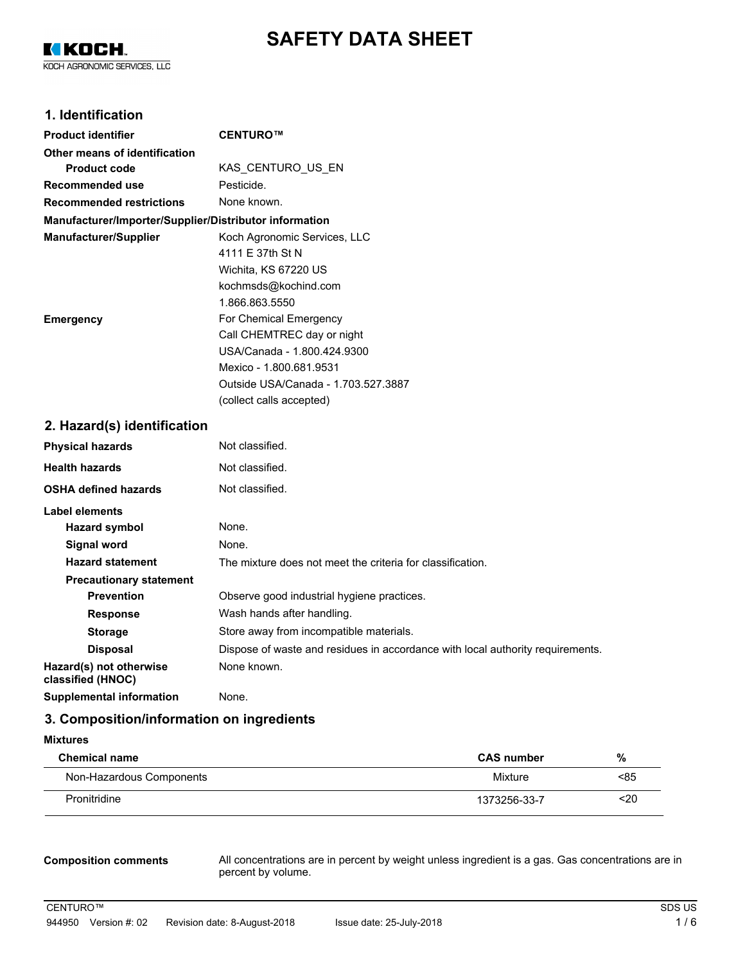# **SAFETY DATA SHEET**

K KOCH. KOCH AGRONOMIC SERVICES, LLC

# **1. Identification**

| <b>Product identifier</b>                              | CENTURO™                            |  |
|--------------------------------------------------------|-------------------------------------|--|
| Other means of identification                          |                                     |  |
| <b>Product code</b>                                    | KAS CENTURO US EN                   |  |
| Recommended use                                        | Pesticide.                          |  |
| <b>Recommended restrictions</b>                        | None known.                         |  |
| Manufacturer/Importer/Supplier/Distributor information |                                     |  |
| <b>Manufacturer/Supplier</b>                           | Koch Agronomic Services, LLC        |  |
|                                                        | 4111 F 37th St N                    |  |
|                                                        | Wichita, KS 67220 US                |  |
|                                                        | kochmsds@kochind.com                |  |
|                                                        | 1.866.863.5550                      |  |
| <b>Emergency</b>                                       | For Chemical Emergency              |  |
|                                                        | Call CHEMTREC day or night          |  |
|                                                        | USA/Canada - 1.800.424.9300         |  |
|                                                        | Mexico - 1.800.681.9531             |  |
|                                                        | Outside USA/Canada - 1.703.527.3887 |  |
|                                                        | (collect calls accepted)            |  |

# **2. Hazard(s) identification**

| <b>Physical hazards</b>                      | Not classified.                                                                |  |  |
|----------------------------------------------|--------------------------------------------------------------------------------|--|--|
| <b>Health hazards</b>                        | Not classified.                                                                |  |  |
| <b>OSHA defined hazards</b>                  | Not classified.                                                                |  |  |
| Label elements                               |                                                                                |  |  |
| Hazard symbol                                | None.                                                                          |  |  |
| Signal word                                  | None.                                                                          |  |  |
| <b>Hazard statement</b>                      | The mixture does not meet the criteria for classification.                     |  |  |
| <b>Precautionary statement</b>               |                                                                                |  |  |
| <b>Prevention</b>                            | Observe good industrial hygiene practices.                                     |  |  |
| <b>Response</b>                              | Wash hands after handling.                                                     |  |  |
| <b>Storage</b>                               | Store away from incompatible materials.                                        |  |  |
| <b>Disposal</b>                              | Dispose of waste and residues in accordance with local authority requirements. |  |  |
| Hazard(s) not otherwise<br>classified (HNOC) | None known.                                                                    |  |  |
| <b>Supplemental information</b>              | None.                                                                          |  |  |

# **3. Composition/information on ingredients**

| <b>Mixtures</b>          |                   |           |  |
|--------------------------|-------------------|-----------|--|
| <b>Chemical name</b>     | <b>CAS number</b> | %<br>< 85 |  |
| Non-Hazardous Components | Mixture           |           |  |
| Pronitridine             | 1373256-33-7      | $20$      |  |

#### **Composition comments**

All concentrations are in percent by weight unless ingredient is a gas. Gas concentrations are in percent by volume.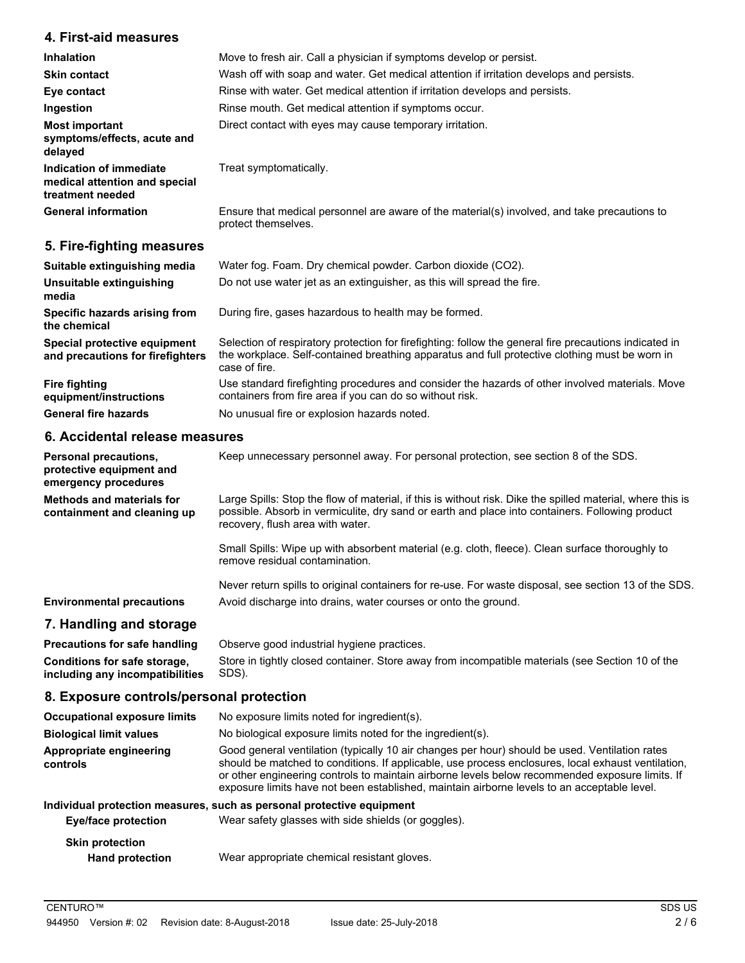# **4. First-aid measures**

| <b>Inhalation</b>                                                            | Move to fresh air. Call a physician if symptoms develop or persist.                                                 |  |  |
|------------------------------------------------------------------------------|---------------------------------------------------------------------------------------------------------------------|--|--|
| <b>Skin contact</b>                                                          | Wash off with soap and water. Get medical attention if irritation develops and persists.                            |  |  |
| Eye contact                                                                  | Rinse with water. Get medical attention if irritation develops and persists.                                        |  |  |
| Ingestion                                                                    | Rinse mouth. Get medical attention if symptoms occur.                                                               |  |  |
| <b>Most important</b><br>symptoms/effects, acute and<br>delayed              | Direct contact with eyes may cause temporary irritation.                                                            |  |  |
| Indication of immediate<br>medical attention and special<br>treatment needed | Treat symptomatically.                                                                                              |  |  |
| <b>General information</b>                                                   | Ensure that medical personnel are aware of the material(s) involved, and take precautions to<br>protect themselves. |  |  |

# **5. Fire-fighting measures**

| Suitable extinguishing media                                     | Water fog. Foam. Dry chemical powder. Carbon dioxide (CO2).                                                                                                                                                               |
|------------------------------------------------------------------|---------------------------------------------------------------------------------------------------------------------------------------------------------------------------------------------------------------------------|
| Unsuitable extinguishing<br>media                                | Do not use water jet as an extinguisher, as this will spread the fire.                                                                                                                                                    |
| Specific hazards arising from<br>the chemical                    | During fire, gases hazardous to health may be formed.                                                                                                                                                                     |
| Special protective equipment<br>and precautions for firefighters | Selection of respiratory protection for firefighting: follow the general fire precautions indicated in<br>the workplace. Self-contained breathing apparatus and full protective clothing must be worn in<br>case of fire. |
| <b>Fire fighting</b><br>equipment/instructions                   | Use standard firefighting procedures and consider the hazards of other involved materials. Move<br>containers from fire area if you can do so without risk.                                                               |
| <b>General fire hazards</b>                                      | No unusual fire or explosion hazards noted.                                                                                                                                                                               |

# **6. Accidental release measures**

**controls**

| <b>Personal precautions,</b><br>protective equipment and<br>emergency procedures | Keep unnecessary personnel away. For personal protection, see section 8 of the SDS.                                                                                                                                                               |
|----------------------------------------------------------------------------------|---------------------------------------------------------------------------------------------------------------------------------------------------------------------------------------------------------------------------------------------------|
| Methods and materials for<br>containment and cleaning up                         | Large Spills: Stop the flow of material, if this is without risk. Dike the spilled material, where this is<br>possible. Absorb in vermiculite, dry sand or earth and place into containers. Following product<br>recovery, flush area with water. |
|                                                                                  | Small Spills: Wipe up with absorbent material (e.g. cloth, fleece). Clean surface thoroughly to<br>remove residual contamination.                                                                                                                 |
|                                                                                  | Never return spills to original containers for re-use. For waste disposal, see section 13 of the SDS.                                                                                                                                             |
| <b>Environmental precautions</b>                                                 | Avoid discharge into drains, water courses or onto the ground.                                                                                                                                                                                    |
| 7. Handling and storage                                                          |                                                                                                                                                                                                                                                   |
| <b>Precautions for safe handling</b>                                             | Observe good industrial hygiene practices.                                                                                                                                                                                                        |
| Conditions for safe storage,<br>including any incompatibilities                  | Store in tightly closed container. Store away from incompatible materials (see Section 10 of the<br>SDS).                                                                                                                                         |
| 8. Exposure controls/personal protection                                         |                                                                                                                                                                                                                                                   |
| <b>Occupational exposure limits</b>                                              | No exposure limits noted for ingredient(s).                                                                                                                                                                                                       |
| <b>Biological limit values</b>                                                   | No biological exposure limits noted for the ingredient(s).                                                                                                                                                                                        |
|                                                                                  | $\bigcap$ . The second contract of the state of the second contract of the state of $M$ . The state of $\mathcal{A}$                                                                                                                              |

Good general ventilation (typically 10 air changes per hour) should be used. Ventilation rates should be matched to conditions. If applicable, use process enclosures, local exhaust ventilation, or other engineering controls to maintain airborne levels below recommended exposure limits. If exposure limits have not been established, maintain airborne levels to an acceptable level. **Appropriate engineering**

#### **Individual protection measures, such as personal protective equipment**

| Eye/face protection                              | Wear safety glasses with side shields (or goggles). |
|--------------------------------------------------|-----------------------------------------------------|
| <b>Skin protection</b><br><b>Hand protection</b> | Wear appropriate chemical resistant gloves.         |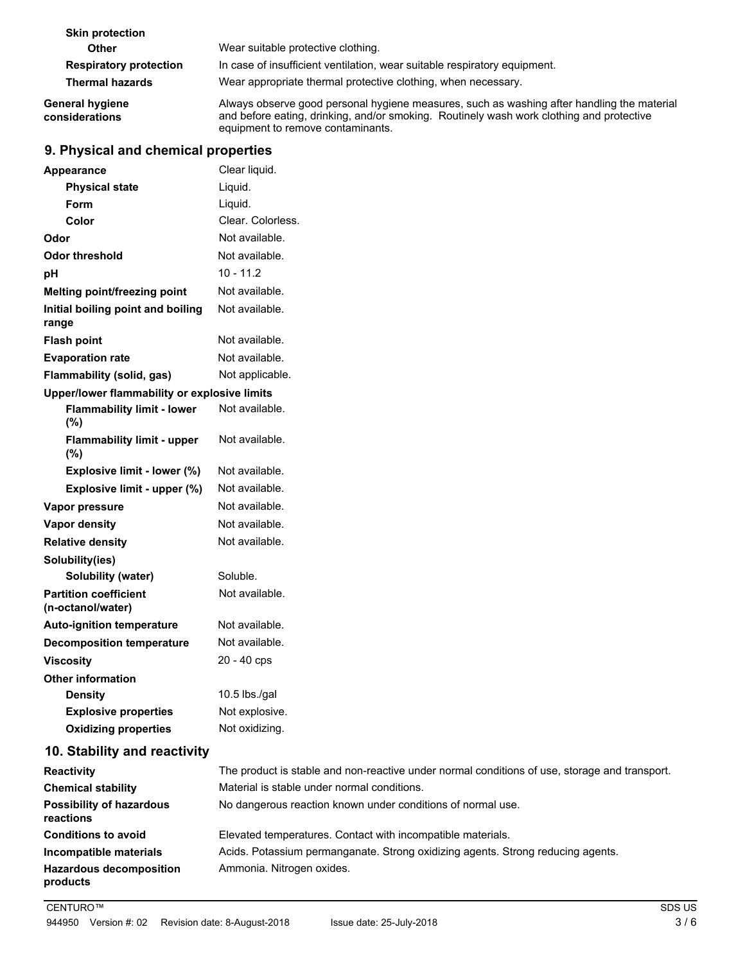| <b>Skin protection</b>            |                                                                                                                                                                                                                             |
|-----------------------------------|-----------------------------------------------------------------------------------------------------------------------------------------------------------------------------------------------------------------------------|
| Other                             | Wear suitable protective clothing.                                                                                                                                                                                          |
| <b>Respiratory protection</b>     | In case of insufficient ventilation, wear suitable respiratory equipment.                                                                                                                                                   |
| <b>Thermal hazards</b>            | Wear appropriate thermal protective clothing, when necessary.                                                                                                                                                               |
| General hygiene<br>considerations | Always observe good personal hygiene measures, such as washing after handling the material<br>and before eating, drinking, and/or smoking. Routinely wash work clothing and protective<br>equipment to remove contaminants. |

# **9. Physical and chemical properties**

| <b>Appearance</b>                                 | Clear liquid.     |
|---------------------------------------------------|-------------------|
| <b>Physical state</b>                             | Liquid.           |
| Form                                              | Liquid.           |
| Color                                             | Clear. Colorless. |
| Odor                                              | Not available.    |
| <b>Odor threshold</b>                             | Not available.    |
| pH                                                | $10 - 11.2$       |
| Melting point/freezing point                      | Not available.    |
| Initial boiling point and boiling<br>range        | Not available.    |
| <b>Flash point</b>                                | Not available.    |
| <b>Evaporation rate</b>                           | Not available.    |
| Flammability (solid, gas)                         | Not applicable.   |
| Upper/lower flammability or explosive limits      |                   |
| <b>Flammability limit - lower</b><br>(%)          | Not available.    |
| <b>Flammability limit - upper</b><br>(%)          | Not available.    |
| Explosive limit - lower (%)                       | Not available.    |
| Explosive limit - upper (%)                       | Not available.    |
| Vapor pressure                                    | Not available.    |
| <b>Vapor density</b>                              | Not available.    |
| <b>Relative density</b>                           | Not available.    |
| Solubility(ies)                                   |                   |
| Solubility (water)                                | Soluble.          |
| <b>Partition coefficient</b><br>(n-octanol/water) | Not available.    |
| <b>Auto-ignition temperature</b>                  | Not available.    |
| <b>Decomposition temperature</b>                  | Not available.    |
| <b>Viscosity</b>                                  | 20 - 40 cps       |
| <b>Other information</b>                          |                   |
| <b>Density</b>                                    | 10.5 lbs./gal     |
| <b>Explosive properties</b>                       | Not explosive.    |
| <b>Oxidizing properties</b>                       | Not oxidizing.    |
| 10. Stability and reactivity                      |                   |
|                                                   |                   |

| <b>Reactivity</b>                            | The product is stable and non-reactive under normal conditions of use, storage and transport. |
|----------------------------------------------|-----------------------------------------------------------------------------------------------|
| <b>Chemical stability</b>                    | Material is stable under normal conditions.                                                   |
| <b>Possibility of hazardous</b><br>reactions | No dangerous reaction known under conditions of normal use.                                   |
| <b>Conditions to avoid</b>                   | Elevated temperatures. Contact with incompatible materials.                                   |
| Incompatible materials                       | Acids. Potassium permanganate. Strong oxidizing agents. Strong reducing agents.               |
| <b>Hazardous decomposition</b><br>products   | Ammonia. Nitrogen oxides.                                                                     |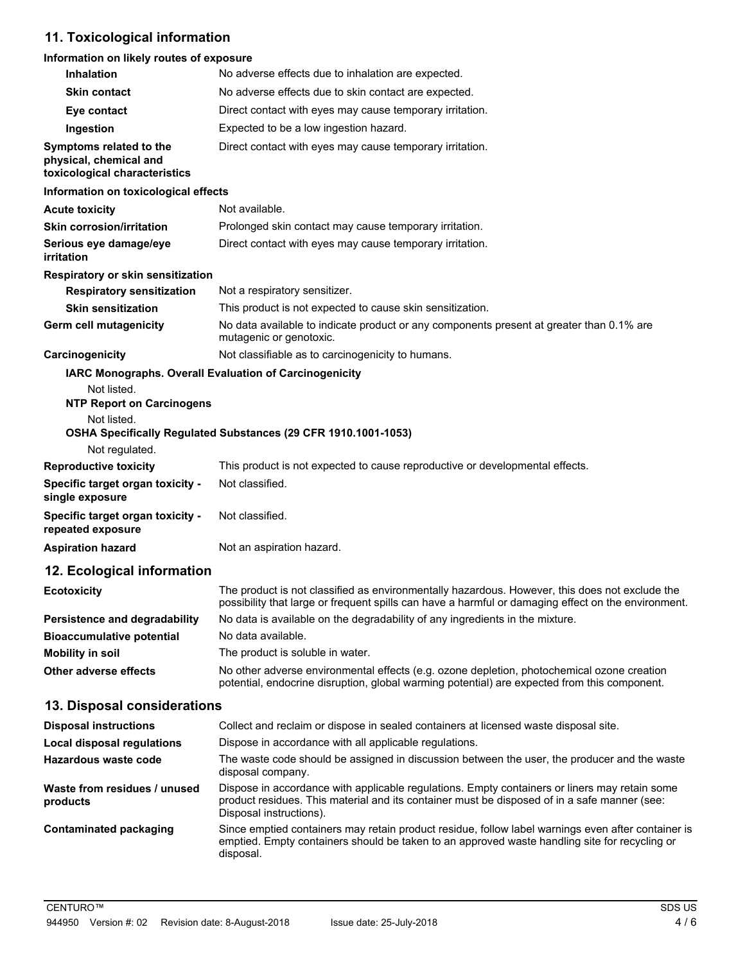# **11. Toxicological information**

# **Information on likely routes of exposure**

| <b>Inhalation</b>                                                                  | No adverse effects due to inhalation are expected.                                                                                                                                                                       |
|------------------------------------------------------------------------------------|--------------------------------------------------------------------------------------------------------------------------------------------------------------------------------------------------------------------------|
| <b>Skin contact</b>                                                                | No adverse effects due to skin contact are expected.                                                                                                                                                                     |
| Eye contact                                                                        | Direct contact with eyes may cause temporary irritation.                                                                                                                                                                 |
| Ingestion                                                                          | Expected to be a low ingestion hazard.                                                                                                                                                                                   |
| Symptoms related to the<br>physical, chemical and<br>toxicological characteristics | Direct contact with eyes may cause temporary irritation.                                                                                                                                                                 |
| Information on toxicological effects                                               |                                                                                                                                                                                                                          |
| <b>Acute toxicity</b>                                                              | Not available.                                                                                                                                                                                                           |
| <b>Skin corrosion/irritation</b>                                                   | Prolonged skin contact may cause temporary irritation.                                                                                                                                                                   |
| Serious eye damage/eye<br>irritation                                               | Direct contact with eyes may cause temporary irritation.                                                                                                                                                                 |
| Respiratory or skin sensitization                                                  |                                                                                                                                                                                                                          |
| <b>Respiratory sensitization</b>                                                   | Not a respiratory sensitizer.                                                                                                                                                                                            |
| <b>Skin sensitization</b>                                                          | This product is not expected to cause skin sensitization.                                                                                                                                                                |
| <b>Germ cell mutagenicity</b>                                                      | No data available to indicate product or any components present at greater than 0.1% are<br>mutagenic or genotoxic.                                                                                                      |
| Carcinogenicity                                                                    | Not classifiable as to carcinogenicity to humans.                                                                                                                                                                        |
| Not listed.<br><b>NTP Report on Carcinogens</b><br>Not listed.<br>Not regulated.   | IARC Monographs. Overall Evaluation of Carcinogenicity<br>OSHA Specifically Regulated Substances (29 CFR 1910.1001-1053)                                                                                                 |
| <b>Reproductive toxicity</b>                                                       | This product is not expected to cause reproductive or developmental effects.                                                                                                                                             |
| Specific target organ toxicity -<br>single exposure                                | Not classified.                                                                                                                                                                                                          |
| Specific target organ toxicity -<br>repeated exposure                              | Not classified.                                                                                                                                                                                                          |
| <b>Aspiration hazard</b>                                                           | Not an aspiration hazard.                                                                                                                                                                                                |
| 12. Ecological information                                                         |                                                                                                                                                                                                                          |
| <b>Ecotoxicity</b>                                                                 | The product is not classified as environmentally hazardous. However, this does not exclude the<br>possibility that large or frequent spills can have a harmful or damaging effect on the environment.                    |
| Persistence and degradability                                                      | No data is available on the degradability of any ingredients in the mixture.                                                                                                                                             |
| <b>Bioaccumulative potential</b>                                                   | No data available.                                                                                                                                                                                                       |
| <b>Mobility in soil</b>                                                            | The product is soluble in water.                                                                                                                                                                                         |
| <b>Other adverse effects</b>                                                       | No other adverse environmental effects (e.g. ozone depletion, photochemical ozone creation<br>potential, endocrine disruption, global warming potential) are expected from this component.                               |
| 13. Disposal considerations                                                        |                                                                                                                                                                                                                          |
| <b>Disposal instructions</b>                                                       | Collect and reclaim or dispose in sealed containers at licensed waste disposal site.                                                                                                                                     |
| <b>Local disposal regulations</b>                                                  | Dispose in accordance with all applicable regulations.                                                                                                                                                                   |
| Hazardous waste code                                                               | The waste code should be assigned in discussion between the user, the producer and the waste<br>disposal company.                                                                                                        |
| Waste from residues / unused<br>products                                           | Dispose in accordance with applicable regulations. Empty containers or liners may retain some<br>product residues. This material and its container must be disposed of in a safe manner (see:<br>Disposal instructions). |
| <b>Contaminated packaging</b>                                                      | Since emptied containers may retain product residue, follow label warnings even after container is<br>emptied. Empty containers should be taken to an approved waste handling site for recycling or<br>disposal.         |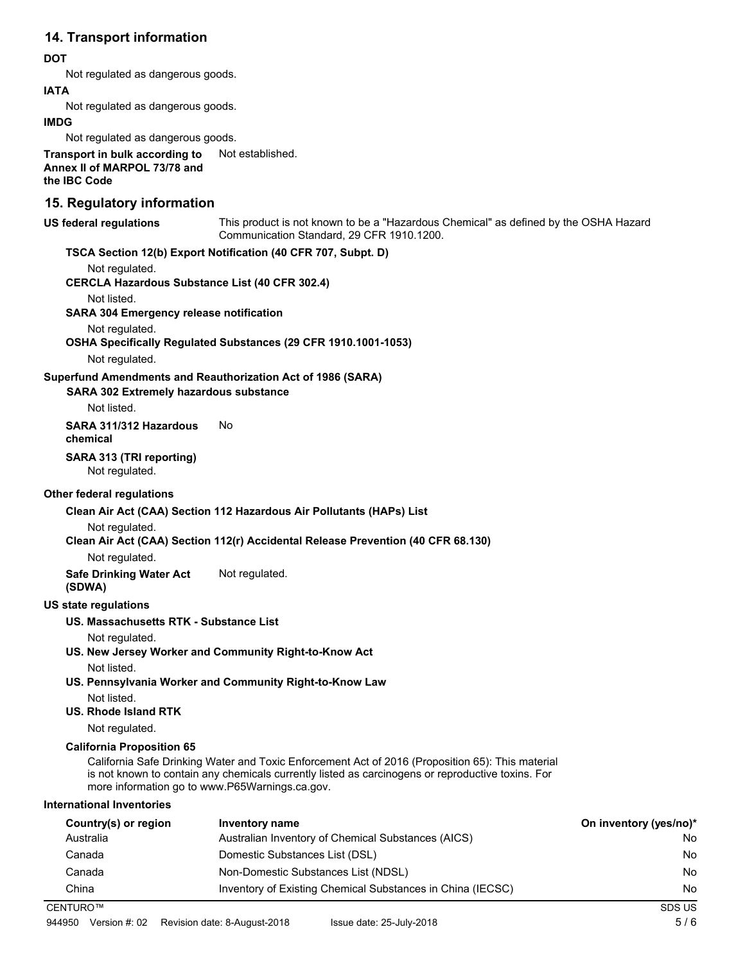# **14. Transport information**

### **DOT**

Not regulated as dangerous goods.

### **IATA**

Not regulated as dangerous goods.

#### **IMDG**

Not regulated as dangerous goods.

**Transport in bulk according to** Not established. **Annex II of MARPOL 73/78 and the IBC Code**

# **15. Regulatory information**

#### **US federal regulations**

This product is not known to be a "Hazardous Chemical" as defined by the OSHA Hazard Communication Standard, 29 CFR 1910.1200.

# **TSCA Section 12(b) Export Notification (40 CFR 707, Subpt. D)**

Not regulated.

**CERCLA Hazardous Substance List (40 CFR 302.4)**

#### Not listed.

**SARA 304 Emergency release notification**

#### Not regulated.

**OSHA Specifically Regulated Substances (29 CFR 1910.1001-1053)**

Not regulated.

### **Superfund Amendments and Reauthorization Act of 1986 (SARA)**

**SARA 302 Extremely hazardous substance**

Not listed.

**SARA 311/312 Hazardous** No

**chemical**

#### **SARA 313 (TRI reporting)**

Not regulated.

### **Other federal regulations**

**Clean Air Act (CAA) Section 112 Hazardous Air Pollutants (HAPs) List**

Not regulated.

### **Clean Air Act (CAA) Section 112(r) Accidental Release Prevention (40 CFR 68.130)**

Not regulated.

**Safe Drinking Water Act** Not regulated. **(SDWA)**

### **US state regulations**

# **US. Massachusetts RTK - Substance List**

Not regulated.

- **US. New Jersey Worker and Community Right-to-Know Act** Not listed.
- **US. Pennsylvania Worker and Community Right-to-Know Law**
	- Not listed.

# **US. Rhode Island RTK**

Not regulated.

### **California Proposition 65**

California Safe Drinking Water and Toxic Enforcement Act of 2016 (Proposition 65): This material is not known to contain any chemicals currently listed as carcinogens or reproductive toxins. For more information go to www.P65Warnings.ca.gov.

### **International Inventories**

| Country(s) or region | Inventory name                                             | On inventory (yes/no)* |
|----------------------|------------------------------------------------------------|------------------------|
| Australia            | Australian Inventory of Chemical Substances (AICS)         | No                     |
| Canada               | Domestic Substances List (DSL)                             | No                     |
| Canada               | Non-Domestic Substances List (NDSL)                        | No                     |
| China                | Inventory of Existing Chemical Substances in China (IECSC) | No                     |
| CENTURO™             |                                                            | SDS US                 |